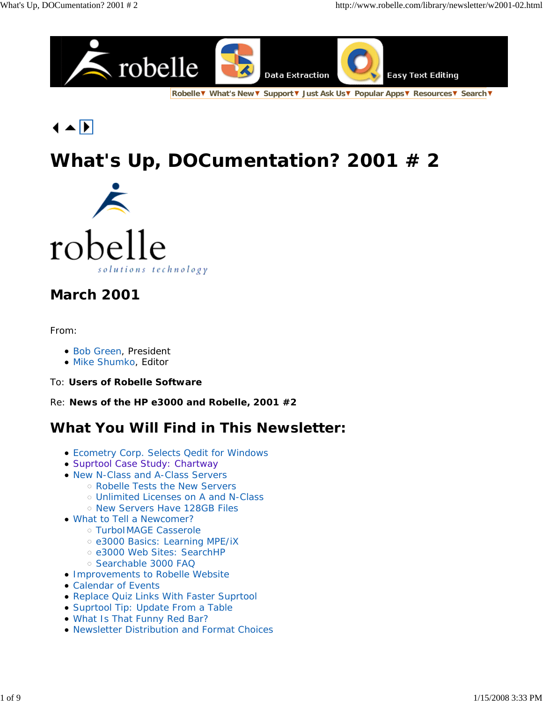

**Robelle What's New Support Just Ask Us Popular Apps Resources Search**

 $\blacktriangle$   $\blacktriangleright$ 

# **What's Up, DOCumentation? 2001 # 2**



## **March 2001**

#### From:

- Bob Green, President
- · Mike Shumko, Editor
- To: **Users of Robelle Software**

Re: **News of the HP e3000 and Robelle, 2001 #2**

## **What You Will Find in This Newsletter:**

- Ecometry Corp. Selects Qedit for Windows
- Suprtool Case Study: Chartway
- New N-Class and A-Class Servers
	- Robelle Tests the New Servers
	- Unlimited Licenses on A and N-Class
	- o New Servers Have 128GB Files
- What to Tell a Newcomer?
	- TurboIMAGE Casserole
	- e3000 Basics: Learning MPE/iX
	- e3000 Web Sites: SearchHP
	- o Searchable 3000 FAQ
- Improvements to Robelle Website
- Calendar of Events
- Replace Quiz Links With Faster Suprtool
- Suprtool Tip: Update From a Table
- What Is That Funny Red Bar?
- Newsletter Distribution and Format Choices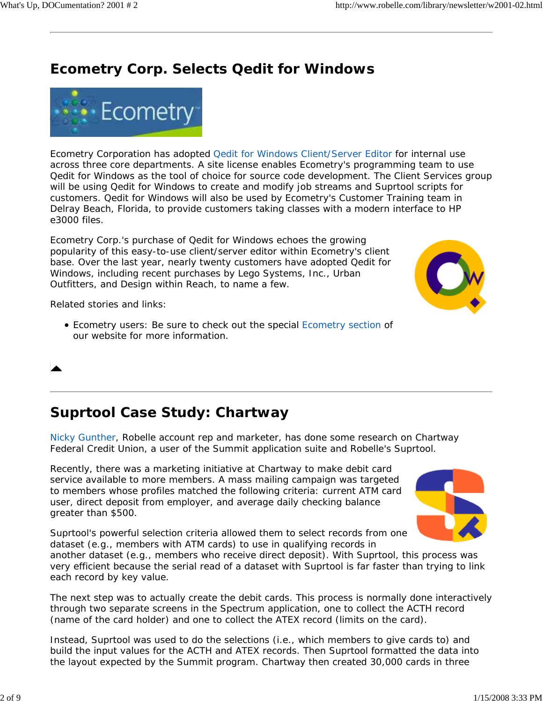## **Ecometry Corp. Selects Qedit for Windows**



Ecometry Corporation has adopted Qedit for Windows Client/Server Editor for internal use across three core departments. A site license enables Ecometry's programming team to use Qedit for Windows as the tool of choice for source code development. The Client Services group will be using Qedit for Windows to create and modify job streams and Suprtool scripts for customers. Qedit for Windows will also be used by Ecometry's Customer Training team in Delray Beach, Florida, to provide customers taking classes with a modern interface to HP e3000 files.

Ecometry Corp.'s purchase of Qedit for Windows echoes the growing popularity of this easy-to-use client/server editor within Ecometry's client base. Over the last year, nearly twenty customers have adopted Qedit for Windows, including recent purchases by Lego Systems, Inc., Urban Outfitters, and Design within Reach, to name a few.

Related stories and links:

Ecometry users: Be sure to check out the special Ecometry section of our website for more information.

## **Suprtool Case Study: Chartway**

*Nicky Gunther, Robelle account rep and marketer, has done some research on Chartway Federal Credit Union, a user of the Summit application suite and Robelle's Suprtool.*

Recently, there was a marketing initiative at Chartway to make debit card service available to more members. A mass mailing campaign was targeted to members whose profiles matched the following criteria: current ATM card user, direct deposit from employer, and average daily checking balance greater than \$500.



Suprtool's powerful selection criteria allowed them to select records from one dataset (e.g., members with ATM cards) to use in qualifying records in

another dataset (e.g., members who receive direct deposit). With Suprtool, this process was very efficient because the serial read of a dataset with Suprtool is far faster than trying to link each record by key value.

The next step was to actually create the debit cards. This process is normally done interactively through two separate screens in the Spectrum application, one to collect the ACTH record (name of the card holder) and one to collect the ATEX record (limits on the card).

Instead, Suprtool was used to do the selections (i.e., which members to give cards to) and build the input values for the ACTH and ATEX records. Then Suprtool formatted the data into the layout expected by the Summit program. Chartway then created 30,000 cards in three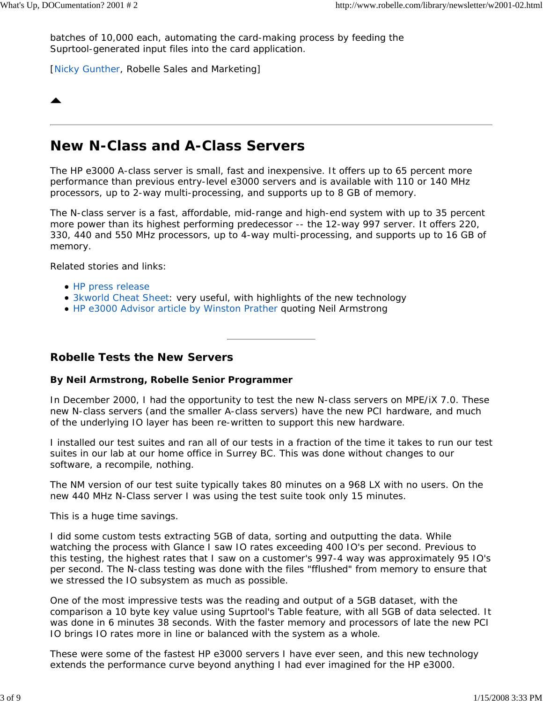batches of 10,000 each, automating the card-making process by feeding the Suprtool-generated input files into the card application.

[Nicky Gunther, Robelle Sales and Marketing]

## **New N-Class and A-Class Servers**

The HP e3000 A-class server is small, fast and inexpensive. It offers up to 65 percent more performance than previous entry-level e3000 servers and is available with 110 or 140 MHz processors, up to 2-way multi-processing, and supports up to 8 GB of memory.

The N-class server is a fast, affordable, mid-range and high-end system with up to 35 percent more power than its highest performing predecessor -- the 12-way 997 server. It offers 220, 330, 440 and 550 MHz processors, up to 4-way multi-processing, and supports up to 16 GB of memory.

Related stories and links:

- HP press release
- 3kworld Cheat Sheet: very useful, with highlights of the new technology
- HP e3000 Advisor article by Winston Prather quoting Neil Armstrong

#### **Robelle Tests the New Servers**

#### **By Neil Armstrong, Robelle Senior Programmer**

In December 2000, I had the opportunity to test the new N-class servers on MPE/iX 7.0. These new N-class servers (and the smaller A-class servers) have the new PCI hardware, and much of the underlying IO layer has been re-written to support this new hardware.

I installed our test suites and ran all of our tests in a fraction of the time it takes to run our test suites in our lab at our home office in Surrey BC. This was done without changes to our software, a recompile, nothing.

The NM version of our test suite typically takes 80 minutes on a 968 LX with no users. On the new 440 MHz N-Class server I was using the test suite took only 15 minutes.

This is a huge time savings.

I did some custom tests extracting 5GB of data, sorting and outputting the data. While watching the process with Glance I saw IO rates exceeding 400 IO's per second. Previous to this testing, the highest rates that I saw on a customer's 997-4 way was approximately 95 IO's per second. The N-class testing was done with the files "fflushed" from memory to ensure that we stressed the IO subsystem as much as possible.

One of the most impressive tests was the reading and output of a 5GB dataset, with the comparison a 10 byte key value using Suprtool's Table feature, with all 5GB of data selected. It was done in 6 minutes 38 seconds. With the faster memory and processors of late the new PCI IO brings IO rates more in line or balanced with the system as a whole.

These were some of the fastest HP e3000 servers I have ever seen, and this new technology extends the performance curve beyond anything I had ever imagined for the HP e3000.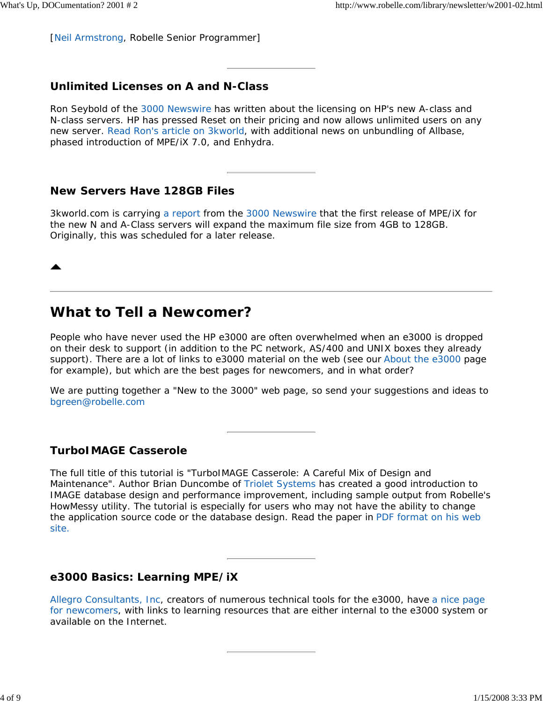[Neil Armstrong, Robelle Senior Programmer]

### **Unlimited Licenses on A and N-Class**

Ron Seybold of the 3000 Newswire has written about the licensing on HP's new A-class and N-class servers. HP has pressed Reset on their pricing and now allows unlimited users on any new server. Read Ron's article on 3kworld, with additional news on unbundling of Allbase, phased introduction of MPE/iX 7.0, and Enhydra.

### **New Servers Have 128GB Files**

3kworld.com is carrying a report from the 3000 Newswire that the first release of MPE/iX for the new N and A-Class servers will expand the maximum file size from 4GB to 128GB. Originally, this was scheduled for a later release.

## **What to Tell a Newcomer?**

People who have never used the HP e3000 are often overwhelmed when an e3000 is dropped on their desk to support (in addition to the PC network, AS/400 and UNIX boxes they already support). There are a lot of links to e3000 material on the web (see our About the e3000 page for example), but which are the best pages for newcomers, and in what order?

We are putting together a "New to the 3000" web page, so send your suggestions and ideas to bgreen@robelle.com

### **TurboIMAGE Casserole**

The full title of this tutorial is "TurboIMAGE Casserole: A Careful Mix of Design and Maintenance". Author Brian Duncombe of Triolet Systems has created a good introduction to IMAGE database design and performance improvement, including sample output from Robelle's HowMessy utility. The tutorial is especially for users who may not have the ability to change the application source code or the database design. Read the paper in PDF format on his web site.

#### **e3000 Basics: Learning MPE/iX**

Allegro Consultants, Inc, creators of numerous technical tools for the e3000, have a nice page for newcomers, with links to learning resources that are either internal to the e3000 system or available on the Internet.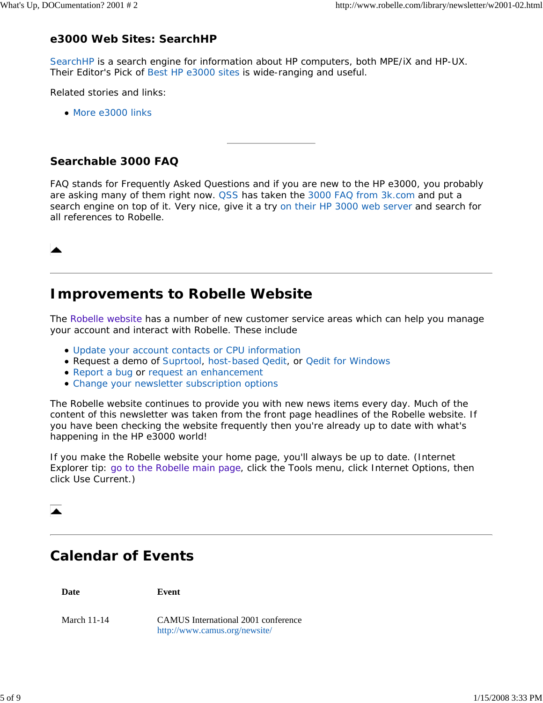### **e3000 Web Sites: SearchHP**

SearchHP is a search engine for information about HP computers, both MPE/iX and HP-UX. Their Editor's Pick of Best HP e3000 sites is wide-ranging and useful.

Related stories and links:

• More e3000 links

### **Searchable 3000 FAQ**

FAQ stands for Frequently Asked Questions and if you are new to the HP e3000, you probably are asking many of them right now. QSS has taken the 3000 FAQ from 3k.com and put a search engine on top of it. Very nice, give it a try on their HP 3000 web server and search for all references to Robelle.

## **Improvements to Robelle Website**

The Robelle website has a number of new customer service areas which can help you manage your account and interact with Robelle. These include

- Update your account contacts or CPU information
- Request a demo of Suprtool, host-based Qedit, or Qedit for Windows
- Report a bug or request an enhancement
- Change your newsletter subscription options

The Robelle website continues to provide you with new news items every day. Much of the content of this newsletter was taken from the front page headlines of the Robelle website. If you have been checking the website frequently then you're already up to date with what's happening in the HP e3000 world!

If you make the Robelle website your home page, you'll always be up to date. (Internet Explorer tip: go to the Robelle main page, click the Tools menu, click Internet Options, then click Use Current.)



## **Calendar of Events**

**Date Event** March 11-14 CAMUS International 2001 conference http://www.camus.org/newsite/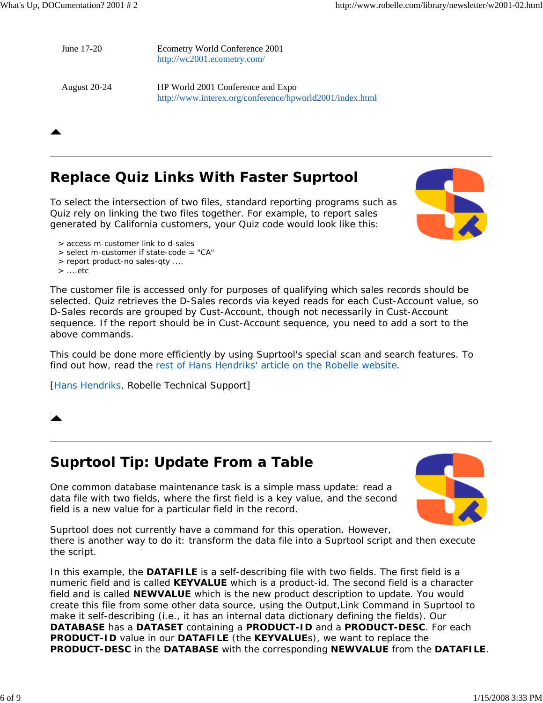June 17-20 Ecometry World Conference 2001 http://wc2001.ecometry.com/

August 20-24 HP World 2001 Conference and Expo http://www.interex.org/conference/hpworld2001/index.html

## **Replace Quiz Links With Faster Suprtool**

To select the intersection of two files, standard reporting programs such as Quiz rely on linking the two files together. For example, to report sales generated by California customers, your Quiz code would look like this:



- > select m-customer if state-code = "CA"
- > report product-no sales-qty ....
- > ....etc

The customer file is accessed only for purposes of qualifying which sales records should be selected. Quiz retrieves the D-Sales records via keyed reads for each Cust-Account value, so D-Sales records are grouped by Cust-Account, though not necessarily in Cust-Account sequence. If the report should be in Cust-Account sequence, you need to add a sort to the above commands.

This could be done more efficiently by using Suprtool's special scan and search features. To find out how, read the rest of Hans Hendriks' article on the Robelle website.

[Hans Hendriks, Robelle Technical Support]

## **Suprtool Tip: Update From a Table**

One common database maintenance task is a simple mass update: read a data file with two fields, where the first field is a key value, and the second field is a new value for a particular field in the record.



Suprtool does not currently have a command for this operation. However, there is another way to do it: *transform the data file into a Suprtool script and then execute the script.*

In this example, the **DATAFILE** is a self-describing file with two fields. The first field is a numeric field and is called **KEYVALUE** which is a product-id. The second field is a character field and is called **NEWVALUE** which is the new product description to update. You would create this file from some other data source, using the Output,Link Command in Suprtool to make it self-describing (i.e., it has an internal data dictionary defining the fields). Our **DATABASE** has a **DATASET** containing a **PRODUCT-ID** and a **PRODUCT-DESC**. For each **PRODUCT-ID** value in our **DATAFILE** (the **KEYVALUE**s), we want to replace the **PRODUCT-DESC** in the **DATABASE** with the corresponding **NEWVALUE** from the **DATAFILE**.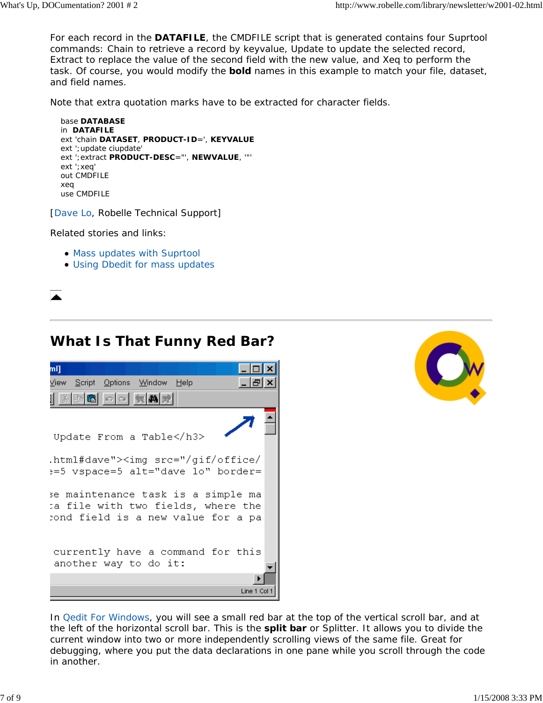For each record in the **DATAFILE**, the CMDFILE script that is generated contains four Suprtool commands: Chain to retrieve a record by keyvalue, Update to update the selected record, Extract to replace the value of the second field with the new value, and Xeq to perform the task. Of course, you would modify the **bold** names in this example to match your file, dataset, and field names.

Note that extra quotation marks have to be extracted for character fields.

```
 base DATABASE
in DATAFILE
ext 'chain DATASET, PRODUCT-ID=', KEYVALUE
ext ';update ciupdate'
ext ';extract PRODUCT-DESC="', NEWVALUE, '"'
ext ';xeq'
out CMDFILE
xeq
use CMDFILE
```
[Dave Lo, Robelle Technical Support]

Related stories and links:

- Mass updates with Suprtool
- Using Dbedit for mass updates



## **What Is That Funny Red Bar?**





In Qedit For Windows, you will see a small red bar at the top of the vertical scroll bar, and at the left of the horizontal scroll bar. This is the **split bar** or Splitter. It allows you to divide the current window into two or more independently scrolling views of the same file. Great for debugging, where you put the data declarations in one pane while you scroll through the code in another.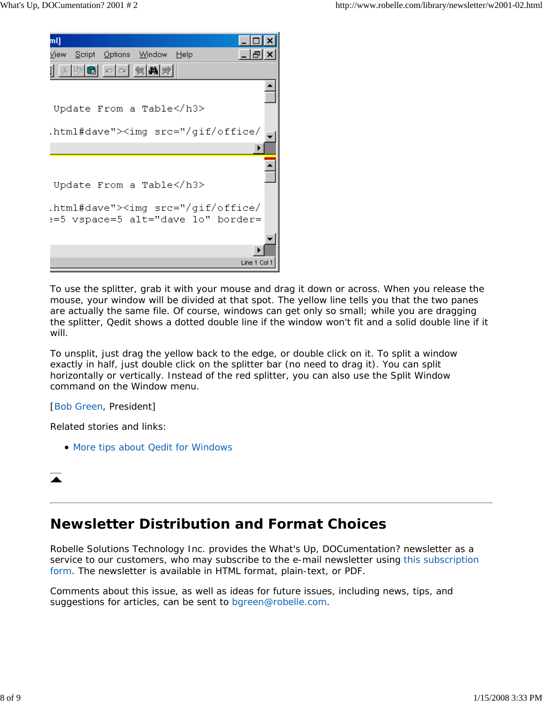

To use the splitter, grab it with your mouse and drag it down or across. When you release the mouse, your window will be divided at that spot. The yellow line tells you that the two panes are actually the same file. Of course, windows can get only so small; while you are dragging the splitter, Qedit shows a dotted double line if the window won't fit and a solid double line if it will.

To unsplit, just drag the yellow back to the edge, or double click on it. To split a window exactly in half, just double click on the splitter bar (no need to drag it). You can split horizontally or vertically. Instead of the red splitter, you can also use the Split Window command on the Window menu.

#### [Bob Green, President]

Related stories and links:

• More tips about Qedit for Windows

## **Newsletter Distribution and Format Choices**

Robelle Solutions Technology Inc. provides the *What's Up, DOCumentation?* newsletter as a service to our customers, who may subscribe to the e-mail newsletter using this subscription form. The newsletter is available in HTML format, plain-text, or PDF.

Comments about this issue, as well as ideas for future issues, including news, tips, and suggestions for articles, can be sent to bgreen@robelle.com.